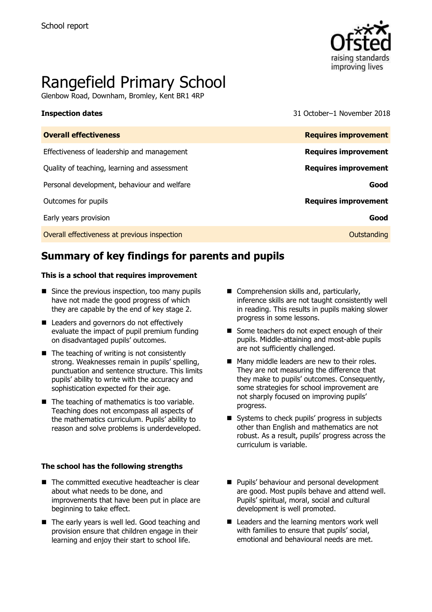

# Rangefield Primary School

Glenbow Road, Downham, Bromley, Kent BR1 4RP

**Inspection dates** 31 October–1 November 2018

| <b>Overall effectiveness</b>                 | <b>Requires improvement</b> |
|----------------------------------------------|-----------------------------|
| Effectiveness of leadership and management   | <b>Requires improvement</b> |
| Quality of teaching, learning and assessment | <b>Requires improvement</b> |
| Personal development, behaviour and welfare  | Good                        |
| Outcomes for pupils                          | <b>Requires improvement</b> |
| Early years provision                        | Good                        |
| Overall effectiveness at previous inspection | Outstanding                 |

# **Summary of key findings for parents and pupils**

### **This is a school that requires improvement**

- $\blacksquare$  Since the previous inspection, too many pupils have not made the good progress of which they are capable by the end of key stage 2.
- Leaders and governors do not effectively evaluate the impact of pupil premium funding on disadvantaged pupils' outcomes.
- $\blacksquare$  The teaching of writing is not consistently strong. Weaknesses remain in pupils' spelling, punctuation and sentence structure. This limits pupils' ability to write with the accuracy and sophistication expected for their age.
- $\blacksquare$  The teaching of mathematics is too variable. Teaching does not encompass all aspects of the mathematics curriculum. Pupils' ability to reason and solve problems is underdeveloped.

### **The school has the following strengths**

- The committed executive headteacher is clear about what needs to be done, and improvements that have been put in place are beginning to take effect.
- The early years is well led. Good teaching and provision ensure that children engage in their learning and enjoy their start to school life.
- Comprehension skills and, particularly, inference skills are not taught consistently well in reading. This results in pupils making slower progress in some lessons.
- Some teachers do not expect enough of their pupils. Middle-attaining and most-able pupils are not sufficiently challenged.
- Many middle leaders are new to their roles. They are not measuring the difference that they make to pupils' outcomes. Consequently, some strategies for school improvement are not sharply focused on improving pupils' progress.
- Systems to check pupils' progress in subjects other than English and mathematics are not robust. As a result, pupils' progress across the curriculum is variable.
- **Pupils' behaviour and personal development** are good. Most pupils behave and attend well. Pupils' spiritual, moral, social and cultural development is well promoted.
- Leaders and the learning mentors work well with families to ensure that pupils' social, emotional and behavioural needs are met.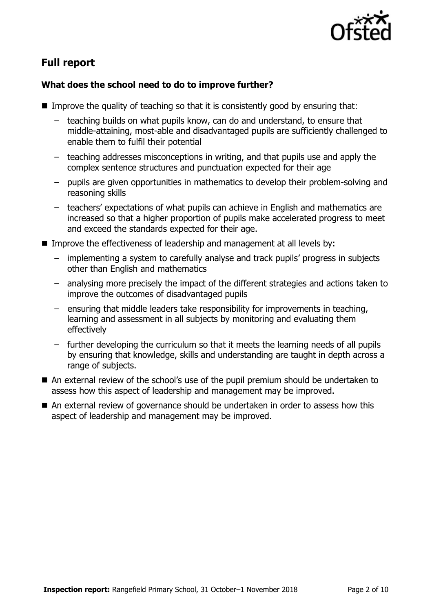

# **Full report**

# **What does the school need to do to improve further?**

- Improve the quality of teaching so that it is consistently good by ensuring that:
	- teaching builds on what pupils know, can do and understand, to ensure that middle-attaining, most-able and disadvantaged pupils are sufficiently challenged to enable them to fulfil their potential
	- teaching addresses misconceptions in writing, and that pupils use and apply the complex sentence structures and punctuation expected for their age
	- pupils are given opportunities in mathematics to develop their problem-solving and reasoning skills
	- teachers' expectations of what pupils can achieve in English and mathematics are increased so that a higher proportion of pupils make accelerated progress to meet and exceed the standards expected for their age.
- Improve the effectiveness of leadership and management at all levels by:
	- implementing a system to carefully analyse and track pupils' progress in subjects other than English and mathematics
	- analysing more precisely the impact of the different strategies and actions taken to improve the outcomes of disadvantaged pupils
	- ensuring that middle leaders take responsibility for improvements in teaching, learning and assessment in all subjects by monitoring and evaluating them effectively
	- further developing the curriculum so that it meets the learning needs of all pupils by ensuring that knowledge, skills and understanding are taught in depth across a range of subjects.
- An external review of the school's use of the pupil premium should be undertaken to assess how this aspect of leadership and management may be improved.
- An external review of governance should be undertaken in order to assess how this aspect of leadership and management may be improved.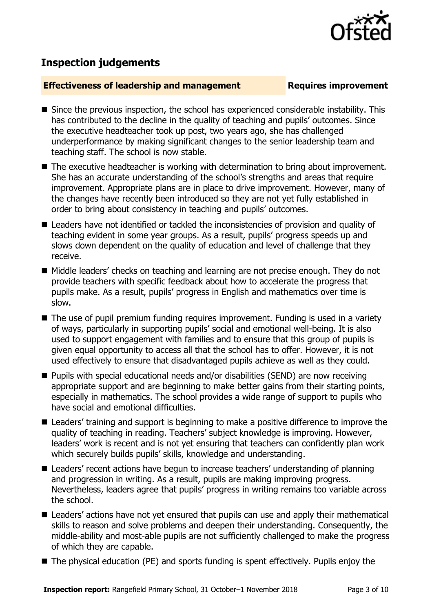

# **Inspection judgements**

# **Effectiveness of leadership and management Requires improvement**

- Since the previous inspection, the school has experienced considerable instability. This has contributed to the decline in the quality of teaching and pupils' outcomes. Since the executive headteacher took up post, two years ago, she has challenged underperformance by making significant changes to the senior leadership team and teaching staff. The school is now stable.
- The executive headteacher is working with determination to bring about improvement. She has an accurate understanding of the school's strengths and areas that require improvement. Appropriate plans are in place to drive improvement. However, many of the changes have recently been introduced so they are not yet fully established in order to bring about consistency in teaching and pupils' outcomes.
- **Leaders have not identified or tackled the inconsistencies of provision and quality of** teaching evident in some year groups. As a result, pupils' progress speeds up and slows down dependent on the quality of education and level of challenge that they receive.
- Middle leaders' checks on teaching and learning are not precise enough. They do not provide teachers with specific feedback about how to accelerate the progress that pupils make. As a result, pupils' progress in English and mathematics over time is slow.
- The use of pupil premium funding requires improvement. Funding is used in a variety of ways, particularly in supporting pupils' social and emotional well-being. It is also used to support engagement with families and to ensure that this group of pupils is given equal opportunity to access all that the school has to offer. However, it is not used effectively to ensure that disadvantaged pupils achieve as well as they could.
- Pupils with special educational needs and/or disabilities (SEND) are now receiving appropriate support and are beginning to make better gains from their starting points, especially in mathematics. The school provides a wide range of support to pupils who have social and emotional difficulties.
- Leaders' training and support is beginning to make a positive difference to improve the quality of teaching in reading. Teachers' subject knowledge is improving. However, leaders' work is recent and is not yet ensuring that teachers can confidently plan work which securely builds pupils' skills, knowledge and understanding.
- Leaders' recent actions have begun to increase teachers' understanding of planning and progression in writing. As a result, pupils are making improving progress. Nevertheless, leaders agree that pupils' progress in writing remains too variable across the school.
- Leaders' actions have not yet ensured that pupils can use and apply their mathematical skills to reason and solve problems and deepen their understanding. Consequently, the middle-ability and most-able pupils are not sufficiently challenged to make the progress of which they are capable.
- The physical education (PE) and sports funding is spent effectively. Pupils enjoy the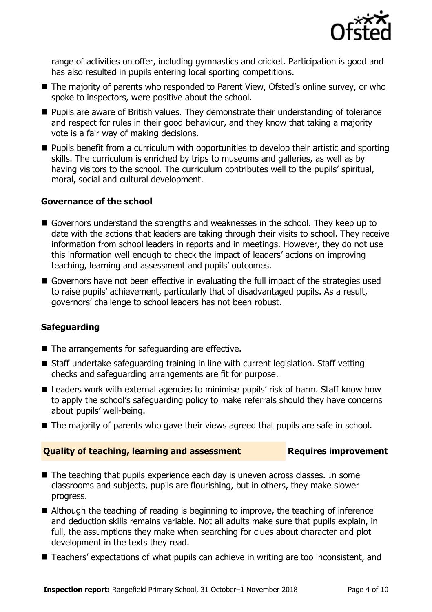

range of activities on offer, including gymnastics and cricket. Participation is good and has also resulted in pupils entering local sporting competitions.

- The majority of parents who responded to Parent View, Ofsted's online survey, or who spoke to inspectors, were positive about the school.
- **Pupils are aware of British values. They demonstrate their understanding of tolerance** and respect for rules in their good behaviour, and they know that taking a majority vote is a fair way of making decisions.
- **Pupils benefit from a curriculum with opportunities to develop their artistic and sporting** skills. The curriculum is enriched by trips to museums and galleries, as well as by having visitors to the school. The curriculum contributes well to the pupils' spiritual, moral, social and cultural development.

# **Governance of the school**

- Governors understand the strengths and weaknesses in the school. They keep up to date with the actions that leaders are taking through their visits to school. They receive information from school leaders in reports and in meetings. However, they do not use this information well enough to check the impact of leaders' actions on improving teaching, learning and assessment and pupils' outcomes.
- Governors have not been effective in evaluating the full impact of the strategies used to raise pupils' achievement, particularly that of disadvantaged pupils. As a result, governors' challenge to school leaders has not been robust.

# **Safeguarding**

- The arrangements for safeguarding are effective.
- Staff undertake safeguarding training in line with current legislation. Staff vetting checks and safeguarding arrangements are fit for purpose.
- Leaders work with external agencies to minimise pupils' risk of harm. Staff know how to apply the school's safeguarding policy to make referrals should they have concerns about pupils' well-being.
- The majority of parents who gave their views agreed that pupils are safe in school.

## **Quality of teaching, learning and assessment Requires improvement**

- The teaching that pupils experience each day is uneven across classes. In some classrooms and subjects, pupils are flourishing, but in others, they make slower progress.
- Although the teaching of reading is beginning to improve, the teaching of inference and deduction skills remains variable. Not all adults make sure that pupils explain, in full, the assumptions they make when searching for clues about character and plot development in the texts they read.
- Teachers' expectations of what pupils can achieve in writing are too inconsistent, and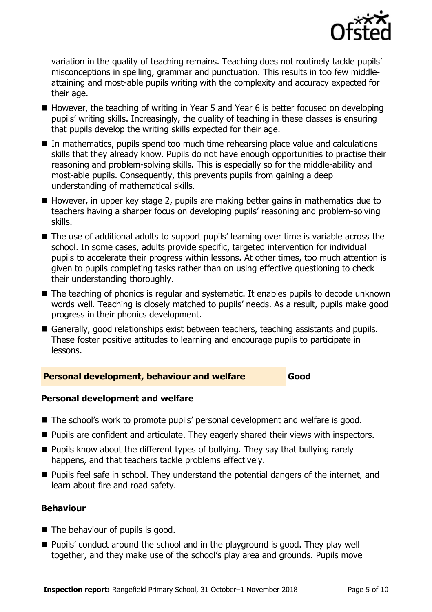

variation in the quality of teaching remains. Teaching does not routinely tackle pupils' misconceptions in spelling, grammar and punctuation. This results in too few middleattaining and most-able pupils writing with the complexity and accuracy expected for their age.

- $\blacksquare$  However, the teaching of writing in Year 5 and Year 6 is better focused on developing pupils' writing skills. Increasingly, the quality of teaching in these classes is ensuring that pupils develop the writing skills expected for their age.
- In mathematics, pupils spend too much time rehearsing place value and calculations skills that they already know. Pupils do not have enough opportunities to practise their reasoning and problem-solving skills. This is especially so for the middle-ability and most-able pupils. Consequently, this prevents pupils from gaining a deep understanding of mathematical skills.
- $\blacksquare$  However, in upper key stage 2, pupils are making better gains in mathematics due to teachers having a sharper focus on developing pupils' reasoning and problem-solving skills.
- The use of additional adults to support pupils' learning over time is variable across the school. In some cases, adults provide specific, targeted intervention for individual pupils to accelerate their progress within lessons. At other times, too much attention is given to pupils completing tasks rather than on using effective questioning to check their understanding thoroughly.
- The teaching of phonics is regular and systematic. It enables pupils to decode unknown words well. Teaching is closely matched to pupils' needs. As a result, pupils make good progress in their phonics development.
- Generally, good relationships exist between teachers, teaching assistants and pupils. These foster positive attitudes to learning and encourage pupils to participate in lessons.

## **Personal development, behaviour and welfare Good**

# **Personal development and welfare**

- The school's work to promote pupils' personal development and welfare is good.
- **Pupils are confident and articulate. They eagerly shared their views with inspectors.**
- $\blacksquare$  Pupils know about the different types of bullying. They say that bullying rarely happens, and that teachers tackle problems effectively.
- **Pupils feel safe in school. They understand the potential dangers of the internet, and** learn about fire and road safety.

# **Behaviour**

- The behaviour of pupils is good.
- $\blacksquare$  Pupils' conduct around the school and in the playground is good. They play well together, and they make use of the school's play area and grounds. Pupils move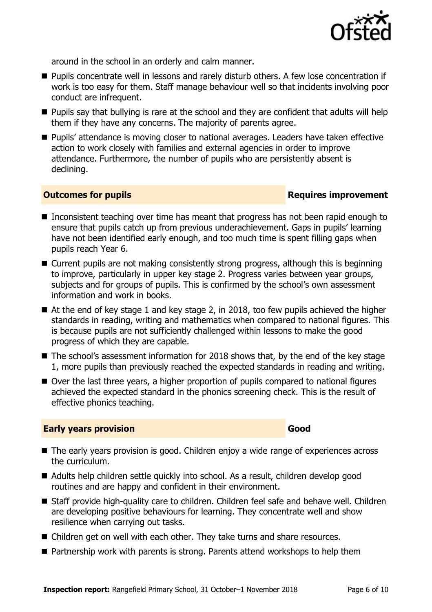

around in the school in an orderly and calm manner.

- **Pupils concentrate well in lessons and rarely disturb others. A few lose concentration if** work is too easy for them. Staff manage behaviour well so that incidents involving poor conduct are infrequent.
- **Pupils say that bullying is rare at the school and they are confident that adults will help** them if they have any concerns. The majority of parents agree.
- **Pupils'** attendance is moving closer to national averages. Leaders have taken effective action to work closely with families and external agencies in order to improve attendance. Furthermore, the number of pupils who are persistently absent is declining.

# **Outcomes for pupils Requires improvement**

- Inconsistent teaching over time has meant that progress has not been rapid enough to ensure that pupils catch up from previous underachievement. Gaps in pupils' learning have not been identified early enough, and too much time is spent filling gaps when pupils reach Year 6.
- Current pupils are not making consistently strong progress, although this is beginning to improve, particularly in upper key stage 2. Progress varies between year groups, subjects and for groups of pupils. This is confirmed by the school's own assessment information and work in books.
- At the end of key stage 1 and key stage 2, in 2018, too few pupils achieved the higher standards in reading, writing and mathematics when compared to national figures. This is because pupils are not sufficiently challenged within lessons to make the good progress of which they are capable.
- The school's assessment information for 2018 shows that, by the end of the key stage 1, more pupils than previously reached the expected standards in reading and writing.
- Over the last three years, a higher proportion of pupils compared to national figures achieved the expected standard in the phonics screening check. This is the result of effective phonics teaching.

# **Early years provision Good Good**

- The early years provision is good. Children enjoy a wide range of experiences across the curriculum.
- Adults help children settle quickly into school. As a result, children develop good routines and are happy and confident in their environment.
- Staff provide high-quality care to children. Children feel safe and behave well. Children are developing positive behaviours for learning. They concentrate well and show resilience when carrying out tasks.
- Children get on well with each other. They take turns and share resources.
- Partnership work with parents is strong. Parents attend workshops to help them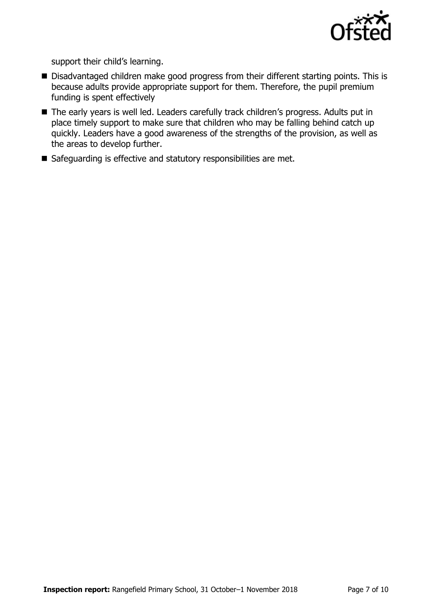

support their child's learning.

- Disadvantaged children make good progress from their different starting points. This is because adults provide appropriate support for them. Therefore, the pupil premium funding is spent effectively
- The early years is well led. Leaders carefully track children's progress. Adults put in place timely support to make sure that children who may be falling behind catch up quickly. Leaders have a good awareness of the strengths of the provision, as well as the areas to develop further.
- Safeguarding is effective and statutory responsibilities are met.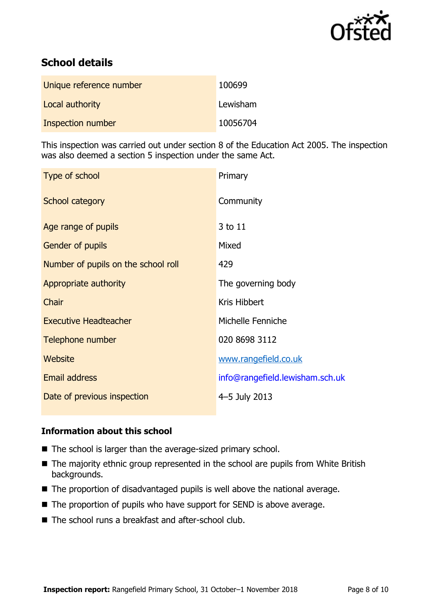

# **School details**

| Unique reference number | 100699   |
|-------------------------|----------|
| Local authority         | Lewisham |
| Inspection number       | 10056704 |

This inspection was carried out under section 8 of the Education Act 2005. The inspection was also deemed a section 5 inspection under the same Act.

| Type of school                      | Primary                         |
|-------------------------------------|---------------------------------|
| School category                     | Community                       |
| Age range of pupils                 | 3 to 11                         |
| Gender of pupils                    | Mixed                           |
| Number of pupils on the school roll | 429                             |
| Appropriate authority               | The governing body              |
| Chair                               | Kris Hibbert                    |
| <b>Executive Headteacher</b>        | Michelle Fenniche               |
| Telephone number                    | 020 8698 3112                   |
| Website                             | www.rangefield.co.uk            |
| Email address                       | info@rangefield.lewisham.sch.uk |
| Date of previous inspection         | 4-5 July 2013                   |

# **Information about this school**

- The school is larger than the average-sized primary school.
- The majority ethnic group represented in the school are pupils from White British backgrounds.
- The proportion of disadvantaged pupils is well above the national average.
- The proportion of pupils who have support for SEND is above average.
- The school runs a breakfast and after-school club.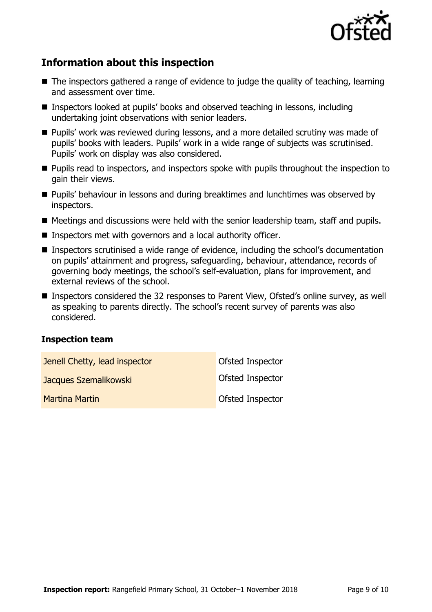

# **Information about this inspection**

- The inspectors gathered a range of evidence to judge the quality of teaching, learning and assessment over time.
- Inspectors looked at pupils' books and observed teaching in lessons, including undertaking joint observations with senior leaders.
- **Pupils' work was reviewed during lessons, and a more detailed scrutiny was made of** pupils' books with leaders. Pupils' work in a wide range of subjects was scrutinised. Pupils' work on display was also considered.
- **Pupils read to inspectors, and inspectors spoke with pupils throughout the inspection to** gain their views.
- **Pupils' behaviour in lessons and during breaktimes and lunchtimes was observed by** inspectors.
- Meetings and discussions were held with the senior leadership team, staff and pupils.
- Inspectors met with governors and a local authority officer.
- Inspectors scrutinised a wide range of evidence, including the school's documentation on pupils' attainment and progress, safeguarding, behaviour, attendance, records of governing body meetings, the school's self-evaluation, plans for improvement, and external reviews of the school.
- Inspectors considered the 32 responses to Parent View, Ofsted's online survey, as well as speaking to parents directly. The school's recent survey of parents was also considered.

## **Inspection team**

| Jenell Chetty, lead inspector | Ofsted Inspector        |
|-------------------------------|-------------------------|
| Jacques Szemalikowski         | Ofsted Inspector        |
| <b>Martina Martin</b>         | <b>Ofsted Inspector</b> |